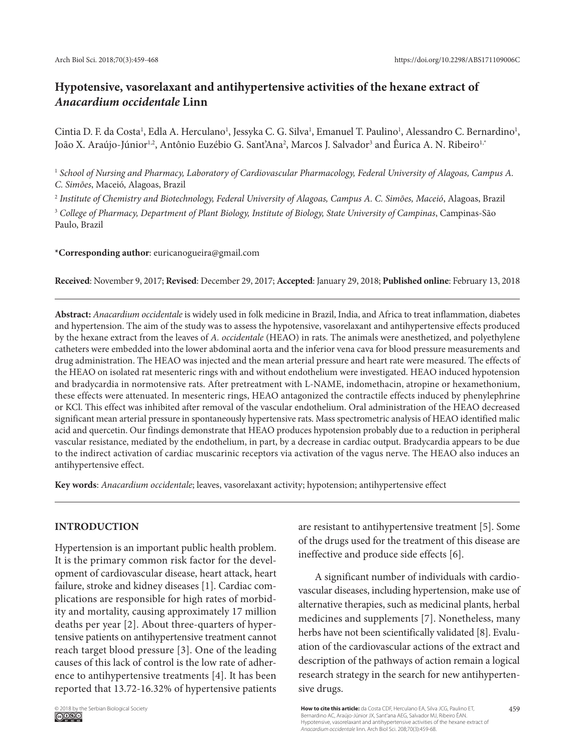# **Hypotensive, vasorelaxant and antihypertensive activities of the hexane extract of**  *Anacardium occidentale* **Linn**

Cintia D. F. da Costa<sup>1</sup>, Edla A. Herculano<sup>1</sup>, Jessyka C. G. Silva<sup>1</sup>, Emanuel T. Paulino<sup>1</sup>, Alessandro C. Bernardino<sup>1</sup>, João X. Araújo-Júnior½, Antônio Euzébio G. Sant'Ana², Marcos J. Salvador<sup>3</sup> and Éurica A. N. Ribeiro½

<sup>1</sup> *School of Nursing and Pharmacy, Laboratory of Cardiovascular Pharmacology, Federal University of Alagoas, Campus A. C. Simões*, Maceió, Alagoas, Brazil

<sup>2</sup> *Institute of Chemistry and Biotechnology, Federal University of Alagoas, Campus A. C. Simões, Maceió*, Alagoas, Brazil

<sup>3</sup> *College of Pharmacy, Department of Plant Biology, Institute of Biology, State University of Campinas*, Campinas-São Paulo, Brazil

**\*Corresponding author**: euricanogueira@gmail.com

**Received**: November 9, 2017; **Revised**: December 29, 2017; **Accepted**: January 29, 2018; **Published online**: February 13, 2018

**Abstract:** *Anacardium occidentale* is widely used in folk medicine in Brazil, India, and Africa to treat inflammation, diabetes and hypertension. The aim of the study was to assess the hypotensive, vasorelaxant and antihypertensive effects produced by the hexane extract from the leaves of *A. occidentale* (HEAO) in rats. The animals were anesthetized, and polyethylene catheters were embedded into the lower abdominal aorta and the inferior vena cava for blood pressure measurements and drug administration. The HEAO was injected and the mean arterial pressure and heart rate were measured. The effects of the HEAO on isolated rat mesenteric rings with and without endothelium were investigated. HEAO induced hypotension and bradycardia in normotensive rats. After pretreatment with L-NAME, indomethacin, atropine or hexamethonium, these effects were attenuated. In mesenteric rings, HEAO antagonized the contractile effects induced by phenylephrine or KCl. This effect was inhibited after removal of the vascular endothelium. Oral administration of the HEAO decreased significant mean arterial pressure in spontaneously hypertensive rats. Mass spectrometric analysis of HEAO identified malic acid and quercetin. Our findings demonstrate that HEAO produces hypotension probably due to a reduction in peripheral vascular resistance, mediated by the endothelium, in part, by a decrease in cardiac output. Bradycardia appears to be due to the indirect activation of cardiac muscarinic receptors via activation of the vagus nerve. The HEAO also induces an antihypertensive effect.

**Key words**: *Anacardium occidentale*; leaves, vasorelaxant activity; hypotension; antihypertensive effect

### **INTRODUCTION**

Hypertension is an important public health problem. It is the primary common risk factor for the development of cardiovascular disease, heart attack, heart failure, stroke and kidney diseases [1]. Cardiac complications are responsible for high rates of morbidity and mortality, causing approximately 17 million deaths per year [2]. About three-quarters of hypertensive patients on antihypertensive treatment cannot reach target blood pressure [3]. One of the leading causes of this lack of control is the low rate of adherence to antihypertensive treatments [4]. It has been reported that 13.72-16.32% of hypertensive patients

are resistant to antihypertensive treatment [5]. Some of the drugs used for the treatment of this disease are ineffective and produce side effects [6].

A significant number of individuals with cardiovascular diseases, including hypertension, make use of alternative therapies, such as medicinal plants, herbal medicines and supplements [7]. Nonetheless, many herbs have not been scientifically validated [8]. Evaluation of the cardiovascular actions of the extract and description of the pathways of action remain a logical research strategy in the search for new antihypertensive drugs.

<sup>© 2018</sup> by the Serbian Biological Society **How to cite this article:** da Costa CDF, Herculano EA, Silva JCG, Paulino ET, 459 Bernardino AC, Araújo-Júnior JX, Sant'ana AEG, Salvador MJ, Ribeiro ÊAN. Hypotensive, vasorelaxant and antihypertensive activities of the hexane extract of *Anacardium occidentale* linn. Arch Biol Sci. 208;70(3):459-68.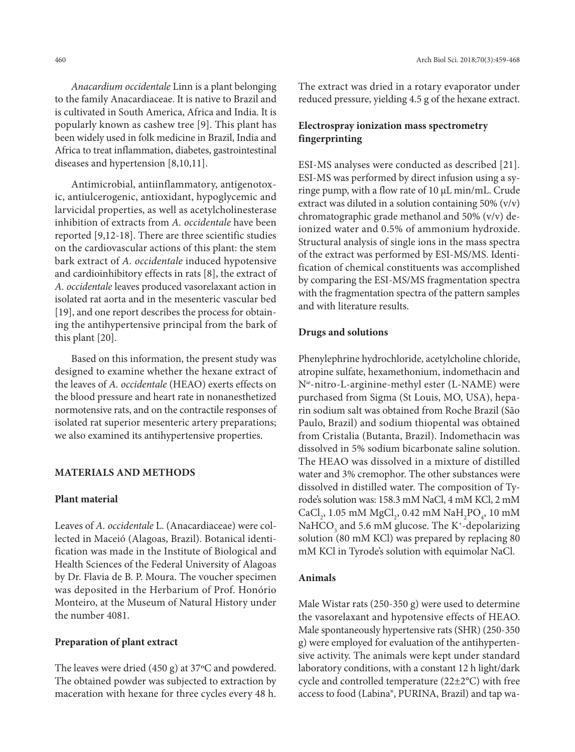*Anacardium occidentale* Linn is a plant belonging to the family Anacardiaceae. It is native to Brazil and is cultivated in South America, Africa and India. It is popularly known as cashew tree [9]. This plant has been widely used in folk medicine in Brazil, India and Africa to treat inflammation, diabetes, gastrointestinal diseases and hypertension [8,10,11].

Antimicrobial, antiinflammatory, antigenotoxic, antiulcerogenic, antioxidant, hypoglycemic and larvicidal properties, as well as acetylcholinesterase inhibition of extracts from *A. occidentale* have been reported [9,12-18]. There are three scientific studies on the cardiovascular actions of this plant: the stem bark extract of *A. occidentale* induced hypotensive and cardioinhibitory effects in rats [8], the extract of *A. occidentale* leaves produced vasorelaxant action in isolated rat aorta and in the mesenteric vascular bed [19], and one report describes the process for obtaining the antihypertensive principal from the bark of this plant [20].

Based on this information, the present study was designed to examine whether the hexane extract of the leaves of *A. occidentale* (HEAO) exerts effects on the blood pressure and heart rate in nonanesthetized normotensive rats, and on the contractile responses of isolated rat superior mesenteric artery preparations; we also examined its antihypertensive properties.

#### **MATERIALS AND METHODS**

### **Plant material**

Leaves of *A. occidentale* L. (Anacardiaceae) were collected in Maceió (Alagoas, Brazil). Botanical identification was made in the Institute of Biological and Health Sciences of the Federal University of Alagoas by Dr. Flavia de B. P. Moura. The voucher specimen was deposited in the Herbarium of Prof. Honório Monteiro, at the Museum of Natural History under the number 4081.

### **Preparation of plant extract**

The leaves were dried (450 g) at 37ºC and powdered. The obtained powder was subjected to extraction by maceration with hexane for three cycles every 48 h.

The extract was dried in a rotary evaporator under reduced pressure, yielding 4.5 g of the hexane extract.

# **Electrospray ionization mass spectrometry fingerprinting**

ESI-MS analyses were conducted as described [21]. ESI-MS was performed by direct infusion using a syringe pump, with a flow rate of 10 µL min/mL. Crude extract was diluted in a solution containing 50% (v/v) chromatographic grade methanol and 50% (v/v) deionized water and 0.5% of ammonium hydroxide. Structural analysis of single ions in the mass spectra of the extract was performed by ESI-MS/MS. Identification of chemical constituents was accomplished by comparing the ESI-MS/MS fragmentation spectra with the fragmentation spectra of the pattern samples and with literature results.

### **Drugs and solutions**

Phenylephrine hydrochloride, acetylcholine chloride, atropine sulfate, hexamethonium, indomethacin and Nω-nitro-L-arginine-methyl ester (L-NAME) were purchased from Sigma (St Louis, MO, USA), heparin sodium salt was obtained from Roche Brazil (São Paulo, Brazil) and sodium thiopental was obtained from Cristalia (Butanta, Brazil). Indomethacin was dissolved in 5% sodium bicarbonate saline solution. The HEAO was dissolved in a mixture of distilled water and 3% cremophor. The other substances were dissolved in distilled water. The composition of Tyrode's solution was: 158.3 mM NaCl, 4 mM KCl, 2 mM  $\text{CaCl}_2$ , 1.05 mM  $\text{MgCl}_2$ , 0.42 mM  $\text{NaH}_2\text{PO}_4$ , 10 mM NaHCO<sub>3</sub> and 5.6 mM glucose. The K<sup>+</sup>-depolarizing solution (80 mM KCl) was prepared by replacing 80 mM KCl in Tyrode's solution with equimolar NaCl.

### **Animals**

Male Wistar rats (250-350 g) were used to determine the vasorelaxant and hypotensive effects of HEAO. Male spontaneously hypertensive rats (SHR) (250-350 g) were employed for evaluation of the antihypertensive activity. The animals were kept under standard laboratory conditions, with a constant 12 h light/dark cycle and controlled temperature (22±2°C) with free access to food (Labina®, PURINA, Brazil) and tap wa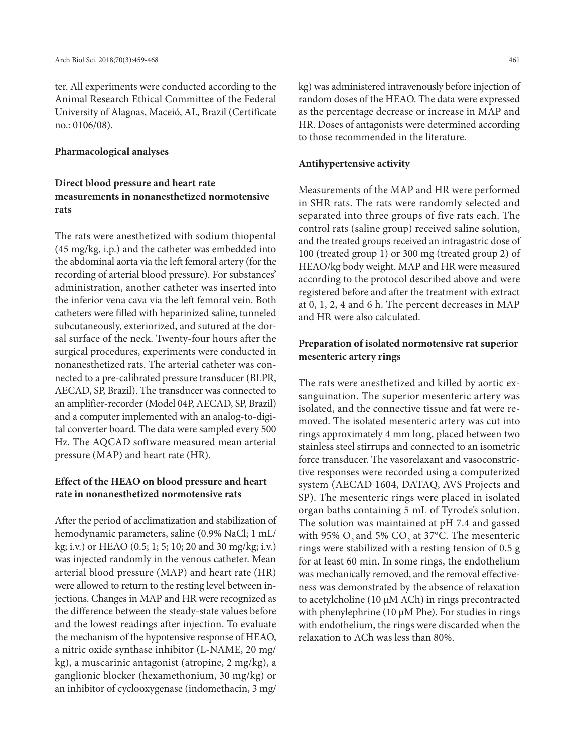ter. All experiments were conducted according to the Animal Research Ethical Committee of the Federal University of Alagoas, Maceió, AL, Brazil (Certificate no.: 0106/08).

#### **Pharmacological analyses**

### **Direct blood pressure and heart rate measurements in nonanesthetized normotensive rats**

The rats were anesthetized with sodium thiopental (45 mg/kg, i.p.) and the catheter was embedded into the abdominal aorta via the left femoral artery (for the recording of arterial blood pressure). For substances' administration, another catheter was inserted into the inferior vena cava via the left femoral vein. Both catheters were filled with heparinized saline, tunneled subcutaneously, exteriorized, and sutured at the dorsal surface of the neck. Twenty-four hours after the surgical procedures, experiments were conducted in nonanesthetized rats. The arterial catheter was connected to a pre-calibrated pressure transducer (BLPR, AECAD, SP, Brazil). The transducer was connected to an amplifier-recorder (Model 04P, AECAD, SP, Brazil) and a computer implemented with an analog-to-digital converter board. The data were sampled every 500 Hz. The AQCAD software measured mean arterial pressure (MAP) and heart rate (HR).

### **Effect of the HEAO on blood pressure and heart rate in nonanesthetized normotensive rats**

After the period of acclimatization and stabilization of hemodynamic parameters, saline (0.9% NaCl; 1 mL/ kg; i.v.) or HEAO (0.5; 1; 5; 10; 20 and 30 mg/kg; i.v.) was injected randomly in the venous catheter. Mean arterial blood pressure (MAP) and heart rate (HR) were allowed to return to the resting level between injections. Changes in MAP and HR were recognized as the difference between the steady-state values before and the lowest readings after injection. To evaluate the mechanism of the hypotensive response of HEAO, a nitric oxide synthase inhibitor (L-NAME, 20 mg/ kg), a muscarinic antagonist (atropine, 2 mg/kg), a ganglionic blocker (hexamethonium, 30 mg/kg) or an inhibitor of cyclooxygenase (indomethacin, 3 mg/

kg) was administered intravenously before injection of random doses of the HEAO. The data were expressed as the percentage decrease or increase in MAP and HR. Doses of antagonists were determined according to those recommended in the literature.

#### **Antihypertensive activity**

Measurements of the MAP and HR were performed in SHR rats. The rats were randomly selected and separated into three groups of five rats each. The control rats (saline group) received saline solution, and the treated groups received an intragastric dose of 100 (treated group 1) or 300 mg (treated group 2) of HEAO/kg body weight. MAP and HR were measured according to the protocol described above and were registered before and after the treatment with extract at 0, 1, 2, 4 and 6 h. The percent decreases in MAP and HR were also calculated.

# **Preparation of isolated normotensive rat superior mesenteric artery rings**

The rats were anesthetized and killed by aortic exsanguination. The superior mesenteric artery was isolated, and the connective tissue and fat were removed. The isolated mesenteric artery was cut into rings approximately 4 mm long, placed between two stainless steel stirrups and connected to an isometric force transducer. The vasorelaxant and vasoconstrictive responses were recorded using a computerized system (AECAD 1604, DATAQ, AVS Projects and SP). The mesenteric rings were placed in isolated organ baths containing 5 mL of Tyrode's solution. The solution was maintained at pH 7.4 and gassed with 95%  $O_2$  and 5%  $CO_2$  at 37°C. The mesenteric rings were stabilized with a resting tension of 0.5 g for at least 60 min. In some rings, the endothelium was mechanically removed, and the removal effectiveness was demonstrated by the absence of relaxation to acetylcholine (10 μM ACh) in rings precontracted with phenylephrine (10 μM Phe). For studies in rings with endothelium, the rings were discarded when the relaxation to ACh was less than 80%.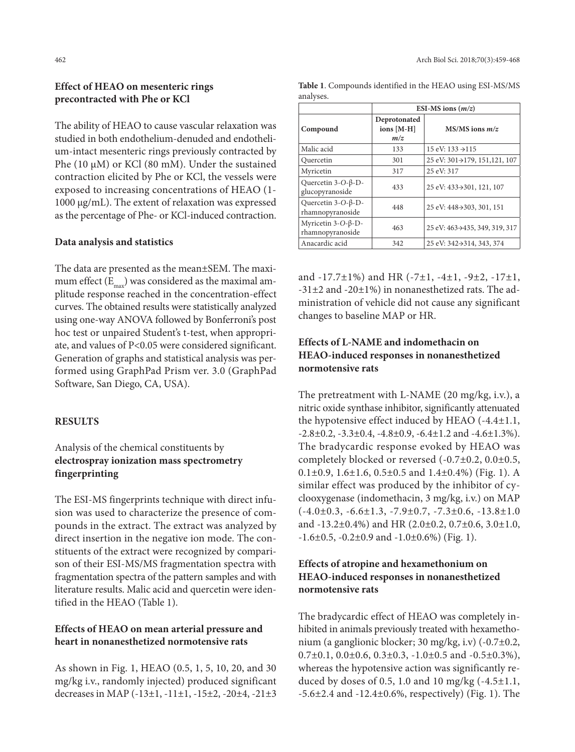# **Effect of HEAO on mesenteric rings precontracted with Phe or KCl**

The ability of HEAO to cause vascular relaxation was studied in both endothelium-denuded and endothelium-intact mesenteric rings previously contracted by Phe (10 μM) or KCl (80 mM). Under the sustained contraction elicited by Phe or KCl, the vessels were exposed to increasing concentrations of HEAO (1- 1000 µg/mL). The extent of relaxation was expressed as the percentage of Phe- or KCl-induced contraction.

### **Data analysis and statistics**

The data are presented as the mean±SEM. The maximum effect  $(E_{\text{max}})$  was considered as the maximal amplitude response reached in the concentration-effect curves. The obtained results were statistically analyzed using one-way ANOVA followed by Bonferroni's post hoc test or unpaired Student's t-test, when appropriate, and values of P<0.05 were considered significant. Generation of graphs and statistical analysis was performed using GraphPad Prism ver. 3.0 (GraphPad Software, San Diego, CA, USA).

### **RESULTS**

# Analysis of the chemical constituents by **electrospray ionization mass spectrometry fingerprinting**

The ESI-MS fingerprints technique with direct infusion was used to characterize the presence of compounds in the extract. The extract was analyzed by direct insertion in the negative ion mode. The constituents of the extract were recognized by comparison of their ESI-MS/MS fragmentation spectra with fragmentation spectra of the pattern samples and with literature results. Malic acid and quercetin were identified in the HEAO (Table 1).

### **Effects of HEAO on mean arterial pressure and heart in nonanesthetized normotensive rats**

As shown in Fig. 1, HEAO (0.5, 1, 5, 10, 20, and 30 mg/kg i.v., randomly injected) produced significant decreases in MAP (-13±1, -11±1, -15±2, -20±4, -21±3

**Table 1**. Compounds identified in the HEAO using ESI-MS/MS analyses.

|                                                   | ESI-MS ions $(m/z)$               |                                              |
|---------------------------------------------------|-----------------------------------|----------------------------------------------|
| Compound                                          | Deprotonated<br>ions [M-H]<br>m/z | $MS/MS$ ions $m/z$                           |
| Malic acid                                        | 133                               | 15 eV: $133 \rightarrow 115$                 |
| Quercetin                                         | 301                               | 25 eV: 301→179, 151,121, 107                 |
| Myricetin                                         | 317                               | 25 eV: 317                                   |
| Quercetin $3-O$ - $\beta$ -D-<br>glucopyranoside  | 433                               | 25 eV: 433→301, 121, 107                     |
| Quercetin $3-O$ - $\beta$ -D-<br>rhamnopyranoside | 448                               | 25 eV: $448 \rightarrow 303$ , 301, 151      |
| Myricetin 3-O-β-D-<br>rhamnopyranoside            | 463                               | 25 eV: 463→435, 349, 319, 317                |
| Anacardic acid                                    | 342                               | 25 eV: $342 \rightarrow 314$ , $343$ , $374$ |

and  $-17.7\pm1\%$ ) and HR ( $-7\pm1$ ,  $-4\pm1$ ,  $-9\pm2$ ,  $-17\pm1$ ,  $-31\pm2$  and  $-20\pm1\%$ ) in nonanesthetized rats. The administration of vehicle did not cause any significant changes to baseline MAP or HR.

# **Effects of L-NAME and indomethacin on HEAO-induced responses in nonanesthetized normotensive rats**

The pretreatment with L-NAME (20 mg/kg, i.v.), a nitric oxide synthase inhibitor, significantly attenuated the hypotensive effect induced by HEAO (-4.4±1.1,  $-2.8\pm0.2, -3.3\pm0.4, -4.8\pm0.9, -6.4\pm1.2$  and  $-4.6\pm1.3%$ ). The bradycardic response evoked by HEAO was completely blocked or reversed (-0.7±0.2, 0.0±0.5, 0.1 $\pm$ 0.9, 1.6 $\pm$ 1.6, 0.5 $\pm$ 0.5 and 1.4 $\pm$ 0.4%) (Fig. 1). A similar effect was produced by the inhibitor of cyclooxygenase (indomethacin, 3 mg/kg, i.v.) on MAP (-4.0±0.3, -6.6±1.3, -7.9±0.7, -7.3±0.6, -13.8±1.0 and -13.2±0.4%) and HR (2.0±0.2, 0.7±0.6, 3.0±1.0,  $-1.6\pm0.5$ ,  $-0.2\pm0.9$  and  $-1.0\pm0.6%$ ) (Fig. 1).

# **Effects of atropine and hexamethonium on HEAO-induced responses in nonanesthetized normotensive rats**

The bradycardic effect of HEAO was completely inhibited in animals previously treated with hexamethonium (a ganglionic blocker; 30 mg/kg, i.v) (-0.7±0.2, 0.7±0.1, 0.0±0.6, 0.3±0.3, -1.0±0.5 and -0.5±0.3%), whereas the hypotensive action was significantly reduced by doses of 0.5, 1.0 and 10 mg/kg  $(-4.5 \pm 1.1,$  $-5.6\pm2.4$  and  $-12.4\pm0.6$ %, respectively) (Fig. 1). The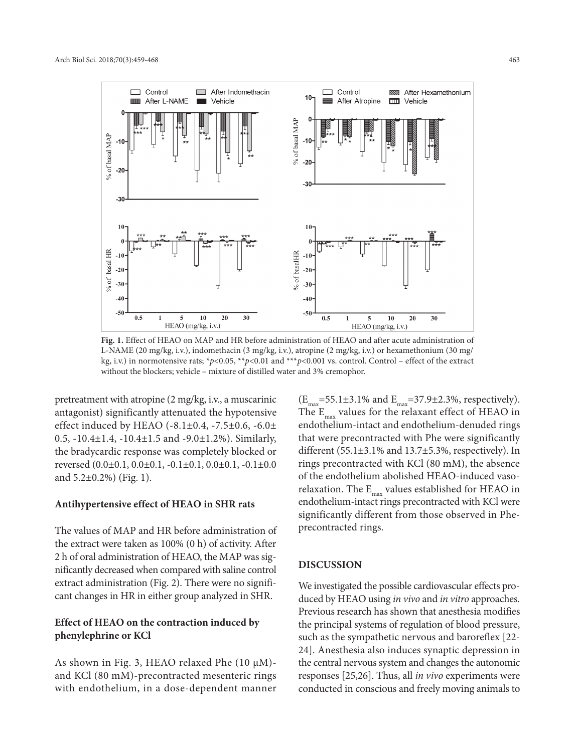$\Box$  Control





 $\Box$  Control

After Indomethacin

**Fig. 1.** Effect of HEAO on MAP and HR before administration of HEAO and after acute administration of L-NAME (20 mg/kg, i.v.), indomethacin (3 mg/kg, i.v.), atropine (2 mg/kg, i.v.) or hexamethonium (30 mg/ kg, i.v.) in normotensive rats; \**p*<0.05, \*\**p*<0.01 and \*\*\**p*<0.001 vs. control. Control – effect of the extract without the blockers; vehicle – mixture of distilled water and 3% cremophor.

pretreatment with atropine (2 mg/kg, i.v., a muscarinic antagonist) significantly attenuated the hypotensive effect induced by HEAO (-8.1±0.4, -7.5±0.6, -6.0± 0.5,  $-10.4\pm1.4$ ,  $-10.4\pm1.5$  and  $-9.0\pm1.2$ %). Similarly, the bradycardic response was completely blocked or reversed (0.0±0.1, 0.0±0.1, -0.1±0.1, 0.0±0.1, -0.1±0.0 and 5.2±0.2%) (Fig. 1).

### **Antihypertensive effect of HEAO in SHR rats**

The values of MAP and HR before administration of the extract were taken as 100% (0 h) of activity. After 2 h of oral administration of HEAO, the MAP was significantly decreased when compared with saline control extract administration (Fig. 2). There were no significant changes in HR in either group analyzed in SHR.

# **Effect of HEAO on the contraction induced by phenylephrine or KCl**

As shown in Fig. 3, HEAO relaxed Phe (10 μM) and KCl (80 mM)-precontracted mesenteric rings with endothelium, in a dose-dependent manner  $(E_{\text{max}}=55.1\pm3.1\% \text{ and } E_{\text{max}}=37.9\pm2.3\% \text{, respectively}).$ The  $E_{\text{max}}$  values for the relaxant effect of HEAO in endothelium-intact and endothelium-denuded rings that were precontracted with Phe were significantly different (55.1±3.1% and 13.7±5.3%, respectively). In rings precontracted with KCl (80 mM), the absence of the endothelium abolished HEAO-induced vasorelaxation. The  $E_{\text{max}}$  values established for HEAO in endothelium-intact rings precontracted with KCl were significantly different from those observed in Pheprecontracted rings.

### **DISCUSSION**

We investigated the possible cardiovascular effects produced by HEAO using *in vivo* and *in vitro* approaches. Previous research has shown that anesthesia modifies the principal systems of regulation of blood pressure, such as the sympathetic nervous and baroreflex [22- 24]. Anesthesia also induces synaptic depression in the central nervous system and changes the autonomic responses [25,26]. Thus, all *in vivo* experiments were conducted in conscious and freely moving animals to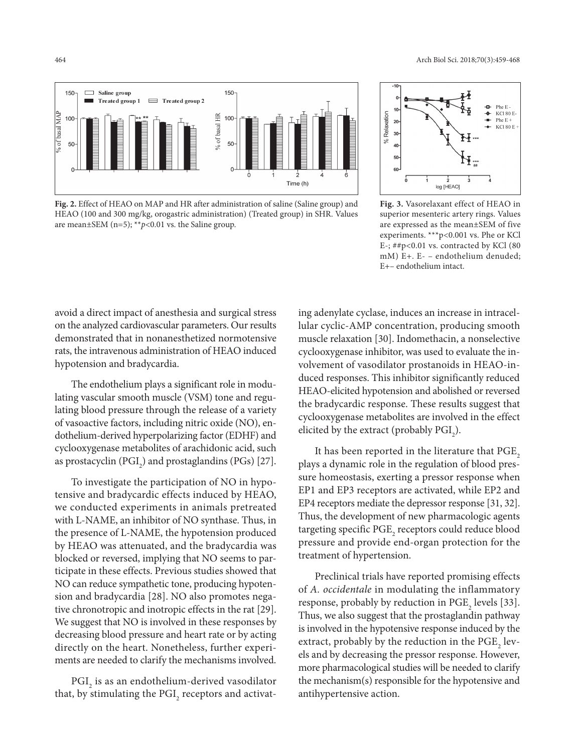

**Fig. 2.** Effect of HEAO on MAP and HR after administration of saline (Saline group) and HEAO (100 and 300 mg/kg, orogastric administration) (Treated group) in SHR. Values are mean±SEM (n=5); \*\**p*<0.01 vs. the Saline group.



**Fig. 3.** Vasorelaxant effect of HEAO in superior mesenteric artery rings. Values are expressed as the mean±SEM of five experiments. \*\*\*p<0.001 vs. Phe or KCl E-;  $\#p<0.01$  vs. contracted by KCl (80 mM) E+. E- – endothelium denuded; E+– endothelium intact.

avoid a direct impact of anesthesia and surgical stress on the analyzed cardiovascular parameters. Our results demonstrated that in nonanesthetized normotensive rats, the intravenous administration of HEAO induced hypotension and bradycardia.

The endothelium plays a significant role in modulating vascular smooth muscle (VSM) tone and regulating blood pressure through the release of a variety of vasoactive factors, including nitric oxide (NO), endothelium-derived hyperpolarizing factor (EDHF) and cyclooxygenase metabolites of arachidonic acid, such as prostacyclin  $(PGI_2)$  and prostaglandins (PGs) [27].

To investigate the participation of NO in hypotensive and bradycardic effects induced by HEAO, we conducted experiments in animals pretreated with L-NAME, an inhibitor of NO synthase. Thus, in the presence of L-NAME, the hypotension produced by HEAO was attenuated, and the bradycardia was blocked or reversed, implying that NO seems to participate in these effects. Previous studies showed that NO can reduce sympathetic tone, producing hypotension and bradycardia [28]. NO also promotes negative chronotropic and inotropic effects in the rat [29]. We suggest that NO is involved in these responses by decreasing blood pressure and heart rate or by acting directly on the heart. Nonetheless, further experiments are needed to clarify the mechanisms involved.

 $\mathrm{PGI}_2$  is as an endothelium-derived vasodilator that, by stimulating the  $\mathrm{PGI}_2$  receptors and activat-

ing adenylate cyclase, induces an increase in intracellular cyclic-AMP concentration, producing smooth muscle relaxation [30]. Indomethacin, a nonselective cyclooxygenase inhibitor, was used to evaluate the involvement of vasodilator prostanoids in HEAO-induced responses. This inhibitor significantly reduced HEAO-elicited hypotension and abolished or reversed the bradycardic response. These results suggest that cyclooxygenase metabolites are involved in the effect elicited by the extract (probably  $PGI_2$ ).

It has been reported in the literature that PGE<sub>2</sub> plays a dynamic role in the regulation of blood pressure homeostasis, exerting a pressor response when EP1 and EP3 receptors are activated, while EP2 and EP4 receptors mediate the depressor response [31, 32]. Thus, the development of new pharmacologic agents targeting specific  $\mathrm{PGE}_2$  receptors could reduce blood pressure and provide end-organ protection for the treatment of hypertension.

Preclinical trials have reported promising effects of *A. occidentale* in modulating the inflammatory response, probably by reduction in  $\mathrm{PGE}_2$  levels [33]. Thus, we also suggest that the prostaglandin pathway is involved in the hypotensive response induced by the extract, probably by the reduction in the  $\mathrm{PGE}_2$  levels and by decreasing the pressor response. However, more pharmacological studies will be needed to clarify the mechanism(s) responsible for the hypotensive and antihypertensive action.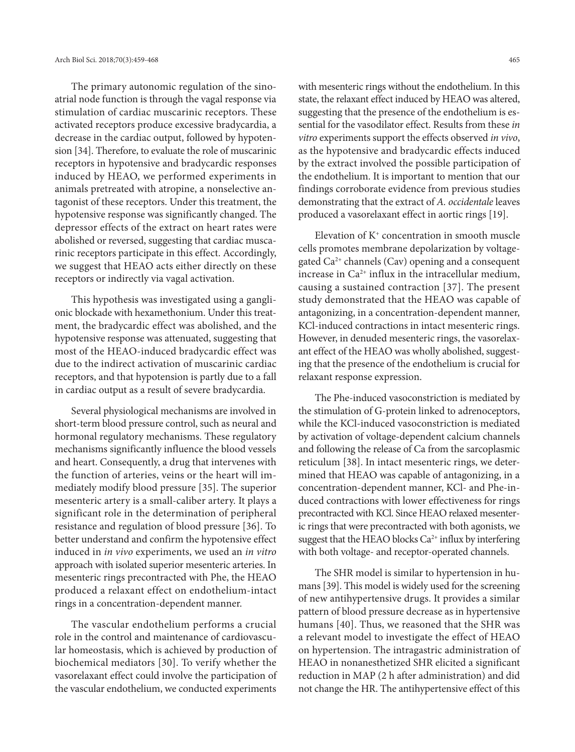The primary autonomic regulation of the sinoatrial node function is through the vagal response via stimulation of cardiac muscarinic receptors. These activated receptors produce excessive bradycardia, a decrease in the cardiac output, followed by hypotension [34]. Therefore, to evaluate the role of muscarinic receptors in hypotensive and bradycardic responses induced by HEAO, we performed experiments in animals pretreated with atropine, a nonselective antagonist of these receptors. Under this treatment, the hypotensive response was significantly changed. The depressor effects of the extract on heart rates were abolished or reversed, suggesting that cardiac muscarinic receptors participate in this effect. Accordingly, we suggest that HEAO acts either directly on these receptors or indirectly via vagal activation.

This hypothesis was investigated using a ganglionic blockade with hexamethonium. Under this treatment, the bradycardic effect was abolished, and the hypotensive response was attenuated, suggesting that most of the HEAO-induced bradycardic effect was due to the indirect activation of muscarinic cardiac receptors, and that hypotension is partly due to a fall in cardiac output as a result of severe bradycardia.

Several physiological mechanisms are involved in short-term blood pressure control, such as neural and hormonal regulatory mechanisms. These regulatory mechanisms significantly influence the blood vessels and heart. Consequently, a drug that intervenes with the function of arteries, veins or the heart will immediately modify blood pressure [35]. The superior mesenteric artery is a small-caliber artery. It plays a significant role in the determination of peripheral resistance and regulation of blood pressure [36]. To better understand and confirm the hypotensive effect induced in *in vivo* experiments, we used an *in vitro* approach with isolated superior mesenteric arteries. In mesenteric rings precontracted with Phe, the HEAO produced a relaxant effect on endothelium-intact rings in a concentration-dependent manner.

The vascular endothelium performs a crucial role in the control and maintenance of cardiovascular homeostasis, which is achieved by production of biochemical mediators [30]. To verify whether the vasorelaxant effect could involve the participation of the vascular endothelium, we conducted experiments

with mesenteric rings without the endothelium. In this state, the relaxant effect induced by HEAO was altered, suggesting that the presence of the endothelium is essential for the vasodilator effect. Results from these *in vitro* experiments support the effects observed *in vivo*, as the hypotensive and bradycardic effects induced by the extract involved the possible participation of the endothelium. It is important to mention that our findings corroborate evidence from previous studies demonstrating that the extract of *A. occidentale* leaves produced a vasorelaxant effect in aortic rings [19].

Elevation of K+ concentration in smooth muscle cells promotes membrane depolarization by voltagegated Ca2+ channels (Cav) opening and a consequent increase in  $Ca^{2+}$  influx in the intracellular medium, causing a sustained contraction [37]. The present study demonstrated that the HEAO was capable of antagonizing, in a concentration-dependent manner, KCl-induced contractions in intact mesenteric rings. However, in denuded mesenteric rings, the vasorelaxant effect of the HEAO was wholly abolished, suggesting that the presence of the endothelium is crucial for relaxant response expression.

The Phe-induced vasoconstriction is mediated by the stimulation of G-protein linked to adrenoceptors, while the KCl-induced vasoconstriction is mediated by activation of voltage-dependent calcium channels and following the release of Ca from the sarcoplasmic reticulum [38]. In intact mesenteric rings, we determined that HEAO was capable of antagonizing, in a concentration-dependent manner, KCl- and Phe-induced contractions with lower effectiveness for rings precontracted with KCl. Since HEAO relaxed mesenteric rings that were precontracted with both agonists, we suggest that the HEAO blocks  $Ca^{2+}$  influx by interfering with both voltage- and receptor-operated channels.

The SHR model is similar to hypertension in humans [39]. This model is widely used for the screening of new antihypertensive drugs. It provides a similar pattern of blood pressure decrease as in hypertensive humans [40]. Thus, we reasoned that the SHR was a relevant model to investigate the effect of HEAO on hypertension. The intragastric administration of HEAO in nonanesthetized SHR elicited a significant reduction in MAP (2 h after administration) and did not change the HR. The antihypertensive effect of this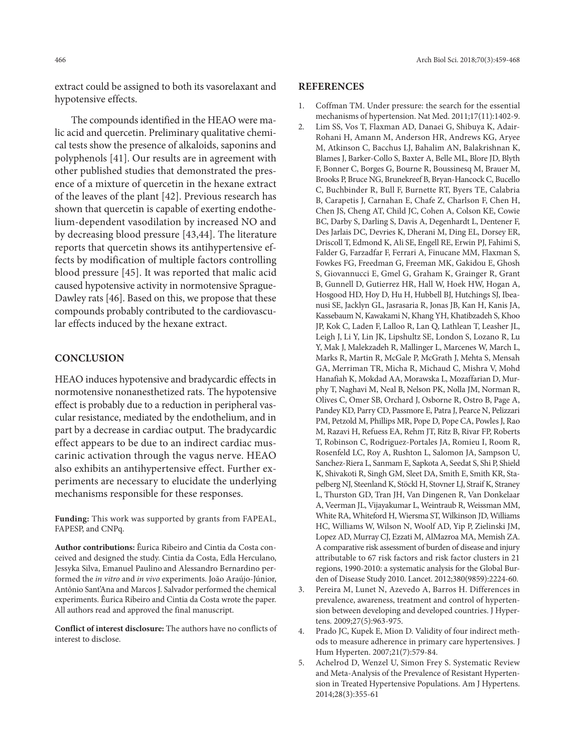extract could be assigned to both its vasorelaxant and hypotensive effects.

The compounds identified in the HEAO were malic acid and quercetin. Preliminary qualitative chemical tests show the presence of alkaloids, saponins and polyphenols [41]. Our results are in agreement with other published studies that demonstrated the presence of a mixture of quercetin in the hexane extract of the leaves of the plant [42]. Previous research has shown that quercetin is capable of exerting endothelium-dependent vasodilation by increased NO and by decreasing blood pressure [43,44]. The literature reports that quercetin shows its antihypertensive effects by modification of multiple factors controlling blood pressure [45]. It was reported that malic acid caused hypotensive activity in normotensive Sprague-Dawley rats [46]. Based on this, we propose that these compounds probably contributed to the cardiovascular effects induced by the hexane extract.

### **CONCLUSION**

HEAO induces hypotensive and bradycardic effects in normotensive nonanesthetized rats. The hypotensive effect is probably due to a reduction in peripheral vascular resistance, mediated by the endothelium, and in part by a decrease in cardiac output. The bradycardic effect appears to be due to an indirect cardiac muscarinic activation through the vagus nerve. HEAO also exhibits an antihypertensive effect. Further experiments are necessary to elucidate the underlying mechanisms responsible for these responses.

**Funding:** This work was supported by grants from FAPEAL, FAPESP, and CNPq.

**Author contributions:** Êurica Ribeiro and Cintia da Costa conceived and designed the study. Cintia da Costa, Edla Herculano, Jessyka Silva, Emanuel Paulino and Alessandro Bernardino performed the *in vitro* and *in vivo* experiments. João Araújo-Júnior, Antônio Sant'Ana and Marcos J. Salvador performed the chemical experiments. Êurica Ribeiro and Cintia da Costa wrote the paper. All authors read and approved the final manuscript.

**Conflict of interest disclosure:** The authors have no conflicts of interest to disclose.

### **REFERENCES**

- 1. Coffman TM. Under pressure: the search for the essential mechanisms of hypertension. Nat Med. 2011;17(11):1402-9.
- 2. Lim SS, Vos T, Flaxman AD, Danaei G, Shibuya K, Adair-Rohani H, Amann M, Anderson HR, Andrews KG, Aryee M, Atkinson C, Bacchus LJ, Bahalim AN, Balakrishnan K, Blames J, Barker-Collo S, Baxter A, Belle ML, Blore JD, Blyth F, Bonner C, Borges G, Bourne R, Boussinesq M, Brauer M, Brooks P, Bruce NG, Brunekreef B, Bryan-Hancock C, Bucello C, Buchbinder R, Bull F, Burnette RT, Byers TE, Calabria B, Carapetis J, Carnahan E, Chafe Z, Charlson F, Chen H, Chen JS, Cheng AT, Child JC, Cohen A, Colson KE, Cowie BC, Darby S, Darling S, Davis A, Degenhardt L, Dentener F, Des Jarlais DC, Devries K, Dherani M, Ding EL, Dorsey ER, Driscoll T, Edmond K, Ali SE, Engell RE, Erwin PJ, Fahimi S, Falder G, Farzadfar F, Ferrari A, Finucane MM, Flaxman S, Fowkes FG, Freedman G, Freeman MK, Gakidou E, Ghosh S, Giovannucci E, Gmel G, Graham K, Grainger R, Grant B, Gunnell D, Gutierrez HR, Hall W, Hoek HW, Hogan A, Hosgood HD, Hoy D, Hu H, Hubbell BJ, Hutchings SJ, Ibeanusi SE, Jacklyn GL, Jasrasaria R, Jonas JB, Kan H, Kanis JA, Kassebaum N, Kawakami N, Khang YH, Khatibzadeh S, Khoo JP, Kok C, Laden F, Lalloo R, Lan Q, Lathlean T, Leasher JL, Leigh J, Li Y, Lin JK, Lipshultz SE, London S, Lozano R, Lu Y, Mak J, Malekzadeh R, Mallinger L, Marcenes W, March L, Marks R, Martin R, McGale P, McGrath J, Mehta S, Mensah GA, Merriman TR, Micha R, Michaud C, Mishra V, Mohd Hanafiah K, Mokdad AA, Morawska L, Mozaffarian D, Murphy T, Naghavi M, Neal B, Nelson PK, Nolla JM, Norman R, Olives C, Omer SB, Orchard J, Osborne R, Ostro B, Page A, Pandey KD, Parry CD, Passmore E, Patra J, Pearce N, Pelizzari PM, Petzold M, Phillips MR, Pope D, Pope CA, Powles J, Rao M, Razavi H, Refuess EA, Rehm JT, Ritz B, Rivar FP, Roberts T, Robinson C, Rodriguez-Portales JA, Romieu I, Room R, Rosenfeld LC, Roy A, Rushton L, Salomon JA, Sampson U, Sanchez-Riera L, Sanmam E, Sapkota A, Seedat S, Shi P, Shield K, Shivakoti R, Singh GM, Sleet DA, Smith E, Smith KR, Stapelberg NJ, Steenland K, Stöckl H, Stovner LJ, Straif K, Straney L, Thurston GD, Tran JH, Van Dingenen R, Van Donkelaar A, Veerman JL, Vijayakumar L, Weintraub R, Weissman MM, White RA, Whiteford H, Wiersma ST, Wilkinson JD, Williams HC, Williams W, Wilson N, Woolf AD, Yip P, Zielinski JM, Lopez AD, Murray CJ, Ezzati M, AlMazroa MA, Memish ZA. A comparative risk assessment of burden of disease and injury attributable to 67 risk factors and risk factor clusters in 21 regions, 1990-2010: a systematic analysis for the Global Burden of Disease Study 2010. Lancet. 2012;380(9859):2224-60.
- 3. Pereira M, Lunet N, Azevedo A, Barros H. Differences in prevalence, awareness, treatment and control of hypertension between developing and developed countries. J Hypertens. 2009;27(5):963-975.
- 4. Prado JC, Kupek E, Mion D. Validity of four indirect methods to measure adherence in primary care hypertensives. J Hum Hyperten. 2007;21(7):579-84.
- 5. Achelrod D, Wenzel U, Simon Frey S. Systematic Review and Meta-Analysis of the Prevalence of Resistant Hypertension in Treated Hypertensive Populations. Am J Hypertens. 2014;28(3):355-61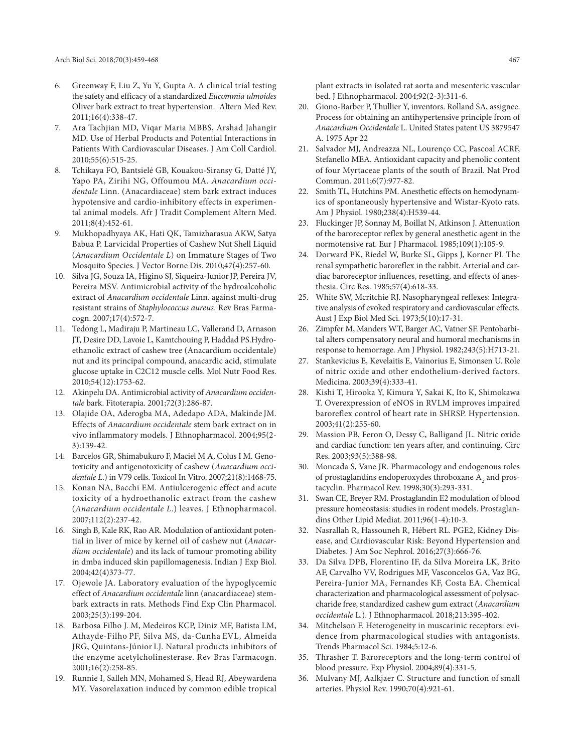- 6. Greenway F, Liu Z, Yu Y, Gupta A. A clinical trial testing the safety and efficacy of a standardized *Eucommia ulmoides* Oliver bark extract to treat hypertension. Altern Med Rev. 2011;16(4):338-47.
- 7. Ara Tachjian MD, Viqar Maria MBBS, Arshad Jahangir MD. Use of Herbal Products and Potential Interactions in Patients With Cardiovascular Diseases. J Am Coll Cardiol. 2010;55(6):515-25.
- 8. Tchikaya FO, Bantsielé GB, Kouakou-Siransy G, Datté JY, Yapo PA, Zirihi NG, Offoumou MA. *Anacardium occidentale* Linn. (Anacardiaceae) stem bark extract induces hypotensive and cardio-inhibitory effects in experimental animal models. Afr J Tradit Complement Altern Med. 2011;8(4):452-61.
- 9. Mukhopadhyaya AK, Hati QK, Tamizharasua AKW, Satya Babua P. Larvicidal Properties of Cashew Nut Shell Liquid (*Anacardium Occidentale L*) on Immature Stages of Two Mosquito Species. J Vector Borne Dis. 2010;47(4):257-60.
- 10. Silva JG, Souza IA, Higino SJ, Siqueira-Junior JP, Pereira JV, Pereira MSV. Antimicrobial activity of the hydroalcoholic extract of *Anacardium occidentale* Linn. against multi-drug resistant strains of *Staphylococcus aureus*. Rev Bras Farmacogn. 2007;17(4):572-7.
- 11. Tedong L, Madiraju P, Martineau LC, Vallerand D, Arnason JT, Desire DD, Lavoie L, Kamtchouing P, Haddad PS.Hydroethanolic extract of cashew tree (Anacardium occidentale) nut and its principal compound, anacardic acid, stimulate glucose uptake in C2C12 muscle cells. Mol Nutr Food Res. 2010;54(12):1753-62.
- 12. Akinpelu DA. Antimicrobial activity of *Anacardium occidentale* bark. Fitoterapia. 2001;72(3):286-87.
- 13. Olajide OA, Aderogba MA, Adedapo ADA, Makinde JM. Effects of *Anacardium occidentale* stem bark extract on in vivo inflammatory models. J Ethnopharmacol. 2004;95(2- 3):139-42.
- 14. Barcelos GR, Shimabukuro F, Maciel M A, Colus I M. Genotoxicity and antigenotoxicity of cashew (*Anacardium occidentale L*.) in V79 cells. Toxicol In Vitro. 2007;21(8):1468-75.
- 15. Konan NA, Bacchi EM. Antiulcerogenic effect and acute toxicity of a hydroethanolic extract from the cashew (*Anacardium occidentale L*.) leaves. J Ethnopharmacol. 2007;112(2):237-42.
- 16. Singh B, Kale RK, Rao AR. Modulation of antioxidant potential in liver of mice by kernel oil of cashew nut (*Anacardium occidentale*) and its lack of tumour promoting ability in dmba induced skin papillomagenesis. Indian J Exp Biol. 2004;42(4)373-77.
- 17. Ojewole JA. Laboratory evaluation of the hypoglycemic effect of *Anacardium occidentale* linn (anacardiaceae) stembark extracts in rats. Methods Find Exp Clin Pharmacol. 2003;25(3):199-204.
- 18. Barbosa Filho J. M, Medeiros KCP, Diniz MF, Batista LM, Athayde-Filho PF, Silva MS, da-Cunha EVL, Almeida JRG, Quintans-Júnior LJ. Natural products inhibitors of the enzyme acetylcholinesterase. Rev Bras Farmacogn. 2001;16(2):258-85.
- 19. Runnie I, Salleh MN, Mohamed S, Head RJ, Abeywardena MY. Vasorelaxation induced by common edible tropical

plant extracts in isolated rat aorta and mesenteric vascular bed. J Ethnopharmacol. 2004;92(2-3):311-6.

- 20. Giono-Barber P, Thullier Y, inventors. Rolland SA, assignee. Process for obtaining an antihypertensive principle from of *Anacardium Occidentale* L. United States patent US 3879547 A. 1975 Apr 22
- 21. Salvador MJ, Andreazza NL, Lourenço CC, Pascoal ACRF, Stefanello MEA. Antioxidant capacity and phenolic content of four Myrtaceae plants of the south of Brazil. Nat Prod Commun. 2011;6(7):977-82.
- 22. Smith TL, Hutchins PM. Anesthetic effects on hemodynamics of spontaneously hypertensive and Wistar-Kyoto rats. Am J Physiol. 1980;238(4):H539-44.
- 23. Fluckinger JP, Sonnay M, Boillat N, Atkinson J. Attenuation of the baroreceptor reflex by general anesthetic agent in the normotensive rat. Eur J Pharmacol. 1985;109(1):105-9.
- 24. Dorward PK, Riedel W, Burke SL, Gipps J, Korner PI. The renal sympathetic baroreflex in the rabbit. Arterial and cardiac baroreceptor influences, resetting, and effects of anesthesia. Circ Res. 1985;57(4):618-33.
- 25. White SW, Mcritchie RJ. Nasopharyngeal reflexes: Integrative analysis of evoked respiratory and cardiovascular effects. Aust J Exp Biol Med Sci. 1973;5(10):17-31.
- 26. Zimpfer M, Manders WT, Barger AC, Vatner SF. Pentobarbital alters compensatory neural and humoral mechanisms in response to hemorrage. Am J Physiol. 1982;243(5):H713-21.
- 27. Stankevicius E, Kevelaitis E, Vainorius E, Simonsen U. Role of nitric oxide and other endothelium-derived factors. Medicina. 2003;39(4):333-41.
- 28. Kishi T, Hirooka Y, Kimura Y, Sakai K, Ito K, Shimokawa T. Overexpression of eNOS in RVLM improves impaired baroreflex control of heart rate in SHRSP. Hypertension. 2003;41(2):255-60.
- 29. Massion PB, Feron O, Dessy C, Balligand JL. Nitric oxide and cardiac function: ten years after, and continuing. Circ Res. 2003;93(5):388-98.
- 30. Moncada S, Vane JR. Pharmacology and endogenous roles of prostaglandins endoperoxydes throboxane  $\mathbf{A}_\text{2}$  and prostacyclin. Pharmacol Rev. 1998;30(3):293-331.
- 31. Swan CE, Breyer RM. Prostaglandin E2 modulation of blood pressure homeostasis: studies in rodent models. Prostaglandins Other Lipid Mediat. 2011;96(1-4):10-3.
- 32. Nasrallah R, Hassouneh R, Hébert RL. PGE2, Kidney Disease, and Cardiovascular Risk: Beyond Hypertension and Diabetes. J Am Soc Nephrol. 2016;27(3):666-76.
- 33. Da Silva DPB, Florentino IF, da Silva Moreira LK, Brito AF, Carvalho VV, Rodrigues MF, Vasconcelos GA, Vaz BG, Pereira-Junior MA, Fernandes KF, Costa EA. Chemical characterization and pharmacological assessment of polysaccharide free, standardized cashew gum extract (*Anacardium occidentale* L.). J Ethnopharmacol. 2018;213:395-402.
- 34. Mitchelson F. Heterogeneity in muscarinic receptors: evidence from pharmacological studies with antagonists. Trends Pharmacol Sci. 1984;5:12-6.
- 35. Thrasher T. Baroreceptors and the long-term control of blood pressure. Exp Physiol. 2004;89(4):331-5.
- 36. Mulvany MJ, Aalkjaer C. Structure and function of small arteries. Physiol Rev. 1990;70(4):921-61.